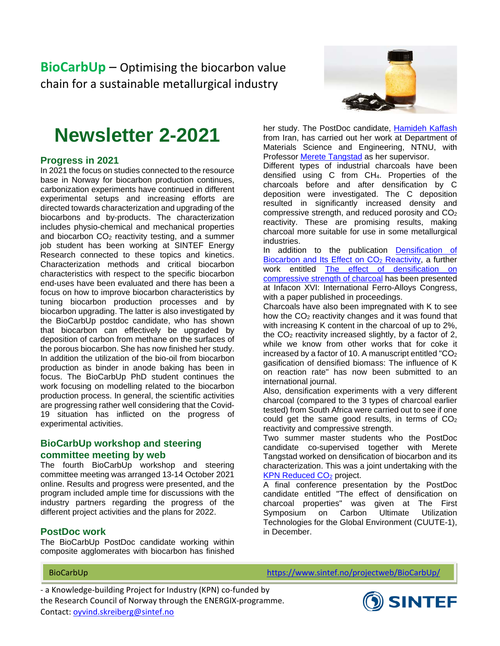**BioCarbUp** – Optimising the biocarbon value chain for a sustainable metallurgical industry



# **Newsletter 2-2021**

### **Progress in 2021**

In 2021 the focus on studies connected to the resource base in Norway for biocarbon production continues, carbonization experiments have continued in different experimental setups and increasing efforts are directed towards characterization and upgrading of the biocarbons and by-products. The characterization includes physio-chemical and mechanical properties and biocarbon CO<sub>2</sub> reactivity testing, and a summer job student has been working at SINTEF Energy Research connected to these topics and kinetics. Characterization methods and critical biocarbon characteristics with respect to the specific biocarbon end-uses have been evaluated and there has been a focus on how to improve biocarbon characteristics by tuning biocarbon production processes and by biocarbon upgrading. The latter is also investigated by the BioCarbUp postdoc candidate, who has shown that biocarbon can effectively be upgraded by deposition of carbon from methane on the surfaces of the porous biocarbon. She has now finished her study. In addition the utilization of the bio-oil from biocarbon production as binder in anode baking has been in focus. The BioCarbUp PhD student continues the work focusing on modelling related to the biocarbon production process. In general, the scientific activities are progressing rather well considering that the Covid-19 situation has inflicted on the progress of experimental activities.

### **BioCarbUp workshop and steering committee meeting by web**

The fourth BioCarbUp workshop and steering committee meeting was arranged 13-14 October 2021 online. Results and progress were presented, and the program included ample time for discussions with the industry partners regarding the progress of the different project activities and the plans for 2022.

### **PostDoc work**

The BioCarbUp PostDoc candidate working within composite agglomerates with biocarbon has finished her study. The PostDoc candidate, [Hamideh Kaffash](https://www.ntnu.no/ansatte/hamideh.kaffash) from Iran, has carried out her work at Department of Materials Science and Engineering, NTNU, with Professor [Merete Tangstad](https://www.ntnu.no/ansatte/merete.tangstad) as her supervisor.

Different types of industrial charcoals have been densified using C from CH4. Properties of the charcoals before and after densification by C deposition were investigated. The C deposition resulted in significantly increased density and compressive strength, and reduced porosity and  $CO<sub>2</sub>$ reactivity. These are promising results, making charcoal more suitable for use in some metallurgical industries.

In addition to the publication Densification of Biocarbon and Its Effect on CO<sub>2</sub> Reactivity, a further work entitled [The effect of densification on](https://papers.ssrn.com/sol3/papers.cfm?abstract_id=3926700)  [compressive strength of charcoal](https://papers.ssrn.com/sol3/papers.cfm?abstract_id=3926700) has been presented at Infacon XVI: International Ferro-Alloys Congress, with a paper published in proceedings.

Charcoals have also been impregnated with K to see how the  $CO<sub>2</sub>$  reactivity changes and it was found that with increasing K content in the charcoal of up to 2%, the  $CO<sub>2</sub>$  reactivity increased slightly, by a factor of 2, while we know from other works that for coke it increased by a factor of 10. A manuscript entitled " $CO<sub>2</sub>$ gasification of densified biomass: The influence of K on reaction rate" has now been submitted to an international journal.

Also, densification experiments with a very different charcoal (compared to the 3 types of charcoal earlier tested) from South Africa were carried out to see if one could get the same good results, in terms of  $CO<sub>2</sub>$ reactivity and compressive strength.

Two summer master students who the PostDoc candidate co-supervised together with Merete Tangstad worked on densification of biocarbon and its characterization. This was a joint undertaking with the **KPN Reduced CO<sub>2</sub> project.** 

A final conference presentation by the PostDoc candidate entitled "The effect of densification on charcoal properties" was given at The First Symposium on Carbon Ultimate Utilization Technologies for the Global Environment (CUUTE-1), in December.

BioCarbUp [https://www.sintef.no/projectweb/BioCarbUp/](https://www.sintef.no/projectweb/biocarbup/)

- a Knowledge-building Project for Industry (KPN) co-funded by the Research Council of Norway through the ENERGIX-programme. Contact: [oyvind.skreiberg@sintef.no](mailto:oyvind.skreiberg@sintef.no)

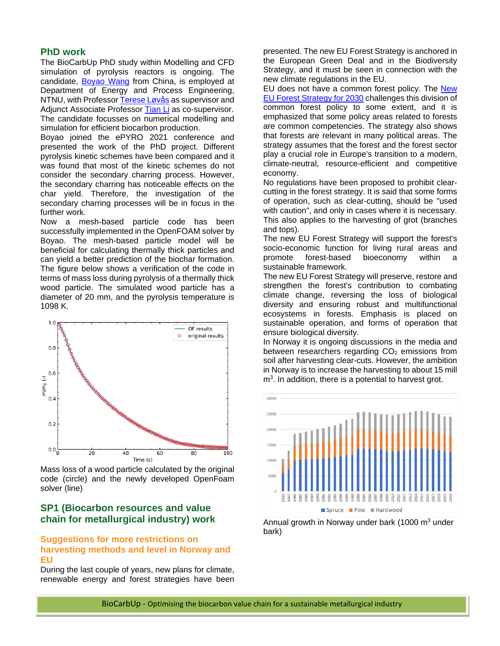#### **PhD work**

The BioCarbUp PhD study within Modelling and CFD simulation of pyrolysis reactors is ongoing. The candidate, [Boyao](https://www.ntnu.no/ansatte/boyao.wang) Wang from China, is employed at Department of Energy and Process Engineering, NTNU, with Professor [Terese Løvås](https://www.ntnu.no/ansatte/terese.lovas) as supervisor and Adjunct Associate Professor [Tian Li](https://www.ntnu.no/ansatte/tian.li) as co-supervisor. The candidate focusses on numerical modelling and simulation for efficient biocarbon production.

Boyao joined the ePYRO 2021 conference and presented the work of the PhD project. Different pyrolysis kinetic schemes have been compared and it was found that most of the kinetic schemes do not consider the secondary charring process. However, the secondary charring has noticeable effects on the char yield. Therefore, the investigation of the secondary charring processes will be in focus in the further work.

Now a mesh-based particle code has been successfully implemented in the OpenFOAM solver by Boyao. The mesh-based particle model will be beneficial for calculating thermally thick particles and can yield a better prediction of the biochar formation. The figure below shows a verification of the code in terms of mass loss during pyrolysis of a thermally thick wood particle. The simulated wood particle has a diameter of 20 mm, and the pyrolysis temperature is 1098 K.



Mass loss of a wood particle calculated by the original code (circle) and the newly developed OpenFoam solver (line)

### **SP1 (Biocarbon resources and value chain for metallurgical industry) work**

### **Suggestions for more restrictions on harvesting methods and level in Norway and EU**

During the last couple of years, new plans for climate, renewable energy and forest strategies have been presented. The new EU Forest Strategy is anchored in the European Green Deal and in the Biodiversity Strategy, and it must be seen in connection with the new climate regulations in the EU.

EU does not have a common forest policy. The [New](https://ec.europa.eu/environment/strategy/forest-strategy_en)  [EU Forest Strategy](https://ec.europa.eu/environment/strategy/forest-strategy_en) for 2030 challenges this division of common forest policy to some extent, and it is emphasized that some policy areas related to forests are common competencies. The strategy also shows that forests are relevant in many political areas. The strategy assumes that the forest and the forest sector play a crucial role in Europe's transition to a modern, climate-neutral, resource-efficient and competitive economy.

No regulations have been proposed to prohibit clearcutting in the forest strategy. It is said that some forms of operation, such as clear-cutting, should be "used with caution", and only in cases where it is necessary. This also applies to the harvesting of grot (branches and tops).

The new EU Forest Strategy will support the forest's socio-economic function for living rural areas and promote forest-based bioeconomy within a sustainable framework.

The new EU Forest Strategy will preserve, restore and strengthen the forest's contribution to combating climate change, reversing the loss of biological diversity and ensuring robust and multifunctional ecosystems in forests. Emphasis is placed on sustainable operation, and forms of operation that ensure biological diversity.

In Norway it is ongoing discussions in the media and between researchers regarding  $CO<sub>2</sub>$  emissions from soil after harvesting clear-cuts. However, the ambition in Norway is to increase the harvesting to about 15 mill  $m<sup>3</sup>$ . In addition, there is a potential to harvest grot.



Annual growth in Norway under bark (1000  $m<sup>3</sup>$  under bark)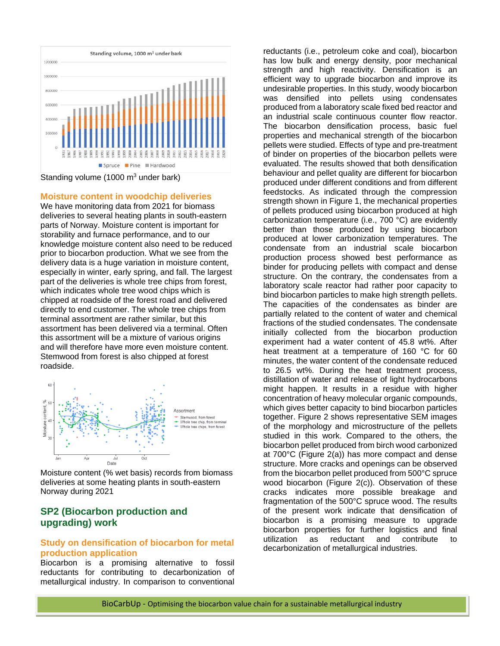

Standing volume (1000  $\mathrm{m}^3$  under bark)

#### **Moisture content in woodchip deliveries**

We have monitoring data from 2021 for biomass deliveries to several heating plants in south-eastern parts of Norway. Moisture content is important for storability and furnace performance, and to our knowledge moisture content also need to be reduced prior to biocarbon production. What we see from the delivery data is a huge variation in moisture content, especially in winter, early spring, and fall. The largest part of the deliveries is whole tree chips from forest, which indicates whole tree wood chips which is chipped at roadside of the forest road and delivered directly to end customer. The whole tree chips from terminal assortment are rather similar, but this assortment has been delivered via a terminal. Often this assortment will be a mixture of various origins and will therefore have more even moisture content. Stemwood from forest is also chipped at forest roadside.



Moisture content (% wet basis) records from biomass deliveries at some heating plants in south-eastern Norway during 2021

### **SP2 (Biocarbon production and upgrading) work**

#### **Study on densification of biocarbon for metal production application**

Biocarbon is a promising alternative to fossil reductants for contributing to decarbonization of metallurgical industry. In comparison to conventional reductants (i.e., petroleum coke and coal), biocarbon has low bulk and energy density, poor mechanical strength and high reactivity. Densification is an efficient way to upgrade biocarbon and improve its undesirable properties. In this study, woody biocarbon was densified into pellets using condensates produced from a laboratory scale fixed bed reactor and an industrial scale continuous counter flow reactor. The biocarbon densification process, basic fuel properties and mechanical strength of the biocarbon pellets were studied. Effects of type and pre-treatment of binder on properties of the biocarbon pellets were evaluated. The results showed that both densification behaviour and pellet quality are different for biocarbon produced under different conditions and from different feedstocks. As indicated through the compression strength shown in Figure 1, the mechanical properties of pellets produced using biocarbon produced at high carbonization temperature (i.e., 700 °C) are evidently better than those produced by using biocarbon produced at lower carbonization temperatures. The condensate from an industrial scale biocarbon production process showed best performance as binder for producing pellets with compact and dense structure. On the contrary, the condensates from a laboratory scale reactor had rather poor capacity to bind biocarbon particles to make high strength pellets. The capacities of the condensates as binder are partially related to the content of water and chemical fractions of the studied condensates. The condensate initially collected from the biocarbon production experiment had a water content of 45.8 wt%. After heat treatment at a temperature of 160 °C for 60 minutes, the water content of the condensate reduced to 26.5 wt%. During the heat treatment process, distillation of water and release of light hydrocarbons might happen. It results in a residue with higher concentration of heavy molecular organic compounds, which gives better capacity to bind biocarbon particles together. Figure 2 shows representative SEM images of the morphology and microstructure of the pellets studied in this work. Compared to the others, the biocarbon pellet produced from birch wood carbonized at 700°C (Figure 2(a)) has more compact and dense structure. More cracks and openings can be observed from the biocarbon pellet produced from 500°C spruce wood biocarbon (Figure 2(c)). Observation of these cracks indicates more possible breakage and fragmentation of the 500°C spruce wood. The results of the present work indicate that densification of biocarbon is a promising measure to upgrade biocarbon properties for further logistics and final utilization as reductant and contribute to decarbonization of metallurgical industries.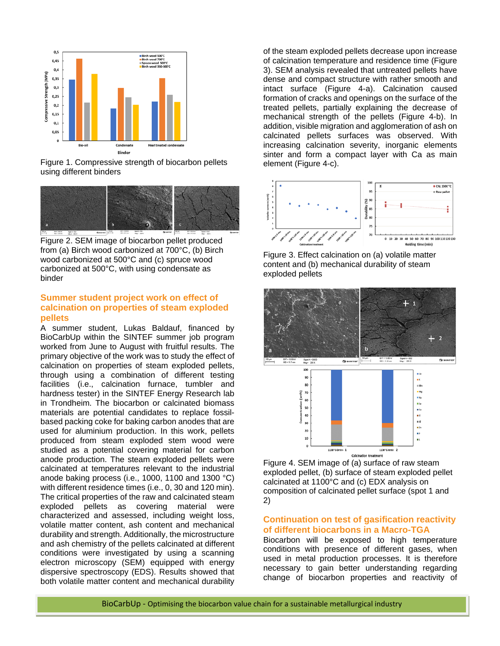

Figure 1. Compressive strength of biocarbon pellets using different binders



Figure 2. SEM image of biocarbon pellet produced from (a) Birch wood carbonized at 700°C, (b) Birch wood carbonized at 500°C and (c) spruce wood carbonized at 500°C, with using condensate as binder

### **Summer student project work on effect of calcination on properties of steam exploded pellets**

A summer student, Lukas Baldauf, financed by BioCarbUp within the SINTEF summer job program worked from June to August with fruitful results. The primary objective of the work was to study the effect of calcination on properties of steam exploded pellets, through using a combination of different testing facilities (i.e., calcination furnace, tumbler and hardness tester) in the SINTEF Energy Research lab in Trondheim. The biocarbon or calcinated biomass materials are potential candidates to replace fossilbased packing coke for baking carbon anodes that are used for aluminium production. In this work, pellets produced from steam exploded stem wood were studied as a potential covering material for carbon anode production. The steam exploded pellets were calcinated at temperatures relevant to the industrial anode baking process (i.e., 1000, 1100 and 1300 °C) with different residence times (i.e., 0, 30 and 120 min). The critical properties of the raw and calcinated steam exploded pellets as covering material were characterized and assessed, including weight loss, volatile matter content, ash content and mechanical durability and strength. Additionally, the microstructure and ash chemistry of the pellets calcinated at different conditions were investigated by using a scanning electron microscopy (SEM) equipped with energy dispersive spectroscopy (EDS). Results showed that both volatile matter content and mechanical durability

of the steam exploded pellets decrease upon increase of calcination temperature and residence time (Figure 3). SEM analysis revealed that untreated pellets have dense and compact structure with rather smooth and intact surface (Figure 4-a). Calcination caused formation of cracks and openings on the surface of the treated pellets, partially explaining the decrease of mechanical strength of the pellets (Figure 4-b). In addition, visible migration and agglomeration of ash on calcinated pellets surfaces was observed. With increasing calcination severity, inorganic elements sinter and form a compact layer with Ca as main element (Figure 4-c).



Figure 3. Effect calcination on (a) volatile matter content and (b) mechanical durability of steam exploded pellets



Figure 4. SEM image of (a) surface of raw steam exploded pellet, (b) surface of steam exploded pellet calcinated at 1100°C and (c) EDX analysis on composition of calcinated pellet surface (spot 1 and 2)

### **Continuation on test of gasification reactivity of different biocarbons in a Macro-TGA**

Biocarbon will be exposed to high temperature conditions with presence of different gases, when used in metal production processes. It is therefore necessary to gain better understanding regarding change of biocarbon properties and reactivity of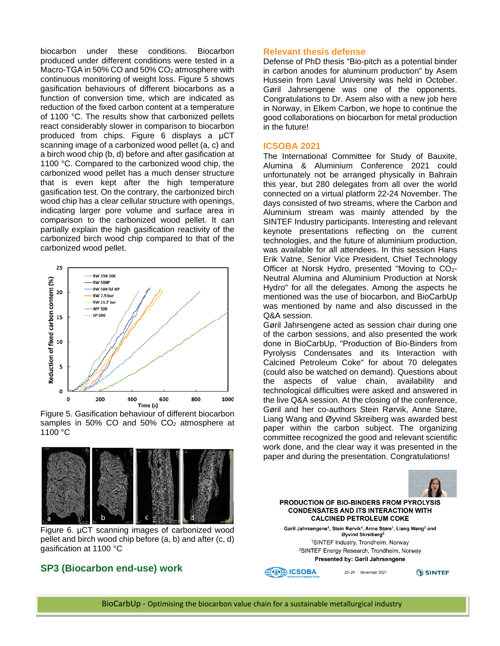biocarbon under these conditions. Biocarbon produced under different conditions were tested in a Macro-TGA in 50% CO and 50% CO<sub>2</sub> atmosphere with continuous monitoring of weight loss. Figure 5 shows gasification behaviours of different biocarbons as a function of conversion time, which are indicated as reduction of the fixed carbon content at a temperature of 1100 °C. The results show that carbonized pellets react considerably slower in comparison to biocarbon produced from chips. Figure 6 displays a µCT scanning image of a carbonized wood pellet (a, c) and a birch wood chip (b, d) before and after gasification at 1100 °C. Compared to the carbonized wood chip, the carbonized wood pellet has a much denser structure that is even kept after the high temperature gasification test. On the contrary, the carbonized birch wood chip has a clear cellular structure with openings, indicating larger pore volume and surface area in comparison to the carbonized wood pellet. It can partially explain the high gasification reactivity of the carbonized birch wood chip compared to that of the carbonized wood pellet.



Figure 5. Gasification behaviour of different biocarbon samples in 50% CO and 50%  $CO<sub>2</sub>$  atmosphere at 1100 °C



Figure 6. µCT scanning images of carbonized wood pellet and birch wood chip before (a, b) and after (c, d) gasification at 1100 °C

### **SP3 (Biocarbon end-use) work**

#### **Relevant thesis defense**

Defense of PhD thesis "Bio-pitch as a potential binder in carbon anodes for aluminum production" by Asem Hussein from Laval University was held in October. Gøril Jahrsengene was one of the opponents. Congratulations to Dr. Asem also with a new job here in Norway, in Elkem Carbon, we hope to continue the good collaborations on biocarbon for metal production in the future!

#### **ICSOBA 2021**

The International Committee for Study of Bauxite, Alumina & Aluminium Conference 2021 could unfortunately not be arranged physically in Bahrain this year, but 280 delegates from all over the world connected on a virtual platform 22-24 November. The days consisted of two streams, where the Carbon and Aluminium stream was mainly attended by the SINTEF Industry participants. Interesting and relevant keynote presentations reflecting on the current technologies, and the future of aluminium production, was available for all attendees. In this session Hans Erik Vatne, Senior Vice President, Chief Technology Officer at Norsk Hydro, presented "Moving to CO2- Neutral Alumina and Aluminium Production at Norsk Hydro" for all the delegates. Among the aspects he mentioned was the use of biocarbon, and BioCarbUp was mentioned by name and also discussed in the Q&A session.

Gøril Jahrsengene acted as session chair during one of the carbon sessions, and also presented the work done in BioCarbUp, "Production of Bio-Binders from Pyrolysis Condensates and its Interaction with Calcined Petroleum Coke" for about 70 delegates (could also be watched on demand). Questions about the aspects of value chain, availability and technological difficulties were asked and answered in the live Q&A session. At the closing of the conference, Gøril and her co-authors Stein Rørvik, Anne Støre, Liang Wang and Øyvind Skreiberg was awarded best paper within the carbon subject. The organizing committee recognized the good and relevant scientific work done, and the clear way it was presented in the paper and during the presentation. Congratulations!

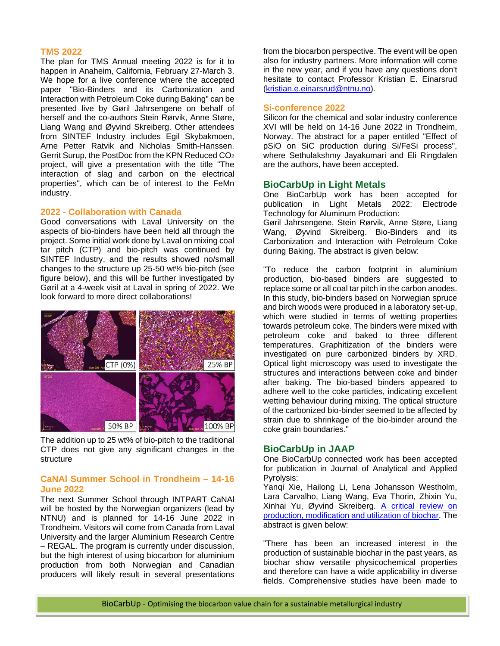#### **TMS 2022**

The plan for TMS Annual meeting 2022 is for it to happen in Anaheim, California, February 27-March 3. We hope for a live conference where the accepted paper "Bio-Binders and its Carbonization and Interaction with Petroleum Coke during Baking" can be presented live by Gøril Jahrsengene on behalf of herself and the co-authors Stein Rørvik, Anne Støre, Liang Wang and Øyvind Skreiberg. Other attendees from SINTEF Industry includes Egil Skybakmoen, Arne Petter Ratvik and Nicholas Smith-Hanssen. Gerrit Surup, the PostDoc from the KPN Reduced CO2 project, will give a presentation with the title "The interaction of slag and carbon on the electrical properties", which can be of interest to the FeMn industry.

#### **2022 - Collaboration with Canada**

Good conversations with Laval University on the aspects of bio-binders have been held all through the project. Some initial work done by Laval on mixing coal tar pitch (CTP) and bio-pitch was continued by SINTEF Industry, and the results showed no/small changes to the structure up 25-50 wt% bio-pitch (see figure below), and this will be further investigated by Gøril at a 4-week visit at Laval in spring of 2022. We look forward to more direct collaborations!



The addition up to 25 wt% of bio-pitch to the traditional CTP does not give any significant changes in the structure

### **CaNAl Summer School in Trondheim – 14-16 June 2022**

The next Summer School through INTPART CaNAl will be hosted by the Norwegian organizers (lead by NTNU) and is planned for 14-16 June 2022 in Trondheim. Visitors will come from Canada from Laval University and the larger Aluminium Research Centre – REGAL. The program is currently under discussion, but the high interest of using biocarbon for aluminium production from both Norwegian and Canadian producers will likely result in several presentations

from the biocarbon perspective. The event will be open also for industry partners. More information will come in the new year, and if you have any questions don't hesitate to contact Professor Kristian E. Einarsrud [\(kristian.e.einarsrud@ntnu.no\)](mailto:kristian.e.einarsrud@ntnu.no).

#### **Si-conference 2022**

Silicon for the chemical and solar industry conference XVI will be held on 14-16 June 2022 in Trondheim, Norway. The abstract for a paper entitled "Effect of pSiO on SiC production during Si/FeSi process", where Sethulakshmy Jayakumari and Eli Ringdalen are the authors, have been accepted.

#### **BioCarbUp in Light Metals**

One BioCarbUp work has been accepted for publication in Light Metals 2022: Electrode Technology for Aluminum Production:

Gøril Jahrsengene, Stein Rørvik, Anne Støre, Liang Wang, Øyvind Skreiberg. Bio-Binders and its Carbonization and Interaction with Petroleum Coke during Baking. The abstract is given below:

"To reduce the carbon footprint in aluminium production, bio-based binders are suggested to replace some or all coal tar pitch in the carbon anodes. In this study, bio-binders based on Norwegian spruce and birch woods were produced in a laboratory set-up, which were studied in terms of wetting properties towards petroleum coke. The binders were mixed with petroleum coke and baked to three different temperatures. Graphitization of the binders were investigated on pure carbonized binders by XRD. Optical light microscopy was used to investigate the structures and interactions between coke and binder after baking. The bio-based binders appeared to adhere well to the coke particles, indicating excellent wetting behaviour during mixing. The optical structure of the carbonized bio-binder seemed to be affected by strain due to shrinkage of the bio-binder around the coke grain boundaries."

### **BioCarbUp in JAAP**

One BioCarbUp connected work has been accepted for publication in Journal of Analytical and Applied Pyrolysis:

Yanqi Xie, Hailong Li, Lena Johansson Westholm, Lara Carvalho, Liang Wang, Eva Thorin, Zhixin Yu, Xinhai Yu, Øyvind Skreiberg. [A critical review on](https://doi.org/10.1016/j.jaap.2021.105405)  [production, modification and utilization of biochar.](https://doi.org/10.1016/j.jaap.2021.105405) The abstract is given below:

"There has been an increased interest in the production of sustainable biochar in the past years, as biochar show versatile physicochemical properties and therefore can have a wide applicability in diverse fields. Comprehensive studies have been made to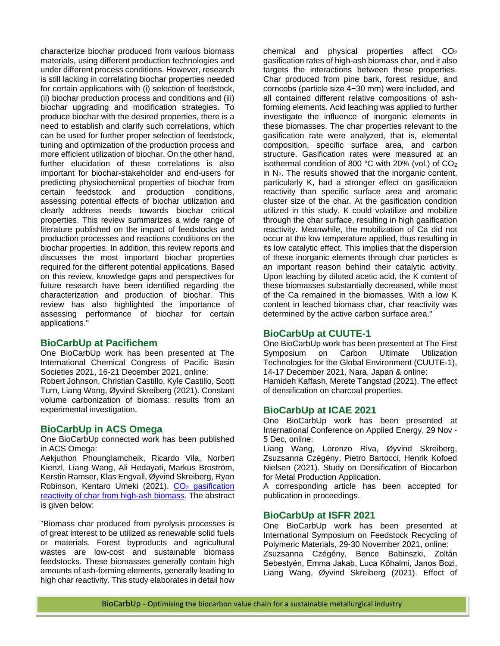characterize biochar produced from various biomass materials, using different production technologies and under different process conditions. However, research is still lacking in correlating biochar properties needed for certain applications with (i) selection of feedstock, (ii) biochar production process and conditions and (iii) biochar upgrading and modification strategies. To produce biochar with the desired properties, there is a need to establish and clarify such correlations, which can be used for further proper selection of feedstock, tuning and optimization of the production process and more efficient utilization of biochar. On the other hand, further elucidation of these correlations is also important for biochar-stakeholder and end-users for predicting physiochemical properties of biochar from certain feedstock and production conditions, assessing potential effects of biochar utilization and clearly address needs towards biochar critical properties. This review summarizes a wide range of literature published on the impact of feedstocks and production processes and reactions conditions on the biochar properties. In addition, this review reports and discusses the most important biochar properties required for the different potential applications. Based on this review, knowledge gaps and perspectives for future research have been identified regarding the characterization and production of biochar. This review has also highlighted the importance of assessing performance of biochar for certain applications."

### **BioCarbUp at Pacifichem**

One BioCarbUp work has been presented at The International Chemical Congress of Pacific Basin Societies 2021, 16-21 December 2021, online:

Robert Johnson, Christian Castillo, Kyle Castillo, Scott Turn, Liang Wang, Øyvind Skreiberg (2021). Constant volume carbonization of biomass: results from an experimental investigation.

### **BioCarbUp in ACS Omega**

One BioCarbUp connected work has been published in ACS Omega:

Aekjuthon Phounglamcheik, Ricardo Vila, Norbert Kienzl, Liang Wang, Ali Hedayati, Markus Broström, Kerstin Ramser, Klas Engvall, Øyvind Skreiberg, Ryan Robinson, Kentaro Umeki (2021). CO<sub>2</sub> gasification [reactivity of char from high-ash biomass.](https://doi.org/10.1021/acsomega.1c05728) The abstract is given below:

"Biomass char produced from pyrolysis processes is of great interest to be utilized as renewable solid fuels or materials. Forest byproducts and agricultural wastes are low-cost and sustainable biomass feedstocks. These biomasses generally contain high amounts of ash-forming elements, generally leading to high char reactivity. This study elaborates in detail how

chemical and physical properties affect  $CO<sub>2</sub>$ gasification rates of high-ash biomass char, and it also targets the interactions between these properties. Char produced from pine bark, forest residue, and corncobs (particle size 4−30 mm) were included, and all contained different relative compositions of ashforming elements. Acid leaching was applied to further investigate the influence of inorganic elements in these biomasses. The char properties relevant to the gasification rate were analyzed, that is, elemental composition, specific surface area, and carbon structure. Gasification rates were measured at an isothermal condition of 800  $^{\circ}$ C with 20% (vol.) of CO<sub>2</sub> in N2. The results showed that the inorganic content, particularly K, had a stronger effect on gasification reactivity than specific surface area and aromatic cluster size of the char. At the gasification condition utilized in this study, K could volatilize and mobilize through the char surface, resulting in high gasification reactivity. Meanwhile, the mobilization of Ca did not occur at the low temperature applied, thus resulting in its low catalytic effect. This implies that the dispersion of these inorganic elements through char particles is an important reason behind their catalytic activity. Upon leaching by diluted acetic acid, the K content of these biomasses substantially decreased, while most of the Ca remained in the biomasses. With a low K content in leached biomass char, char reactivity was determined by the active carbon surface area."

### **BioCarbUp at CUUTE-1**

One BioCarbUp work has been presented at The First Symposium on Carbon Ultimate Utilization Technologies for the Global Environment (CUUTE-1), 14-17 December 2021, Nara, Japan & online: Hamideh Kaffash, Merete Tangstad (2021). The effect of densification on charcoal properties.

### **BioCarbUp at ICAE 2021**

One BioCarbUp work has been presented at International Conference on Applied Energy, 29 Nov - 5 Dec, online:

Liang Wang, Lorenzo Riva, Øyvind Skreiberg, Zsuzsanna Czégény, Pietro Bartocci, Henrik Kofoed Nielsen (2021). Study on Densification of Biocarbon for Metal Production Application.

A corresponding article has been accepted for publication in proceedings.

### **BioCarbUp at ISFR 2021**

One BioCarbUp work has been presented at International Symposium on Feedstock Recycling of Polymeric Materials, 29-30 November 2021, online: Zsuzsanna Czégény, Bence Babinszki, Zoltán Sebestyén, Emma Jakab, Luca Kőhalmi, Janos Bozi, Liang Wang, Øyvind Skreiberg (2021). Effect of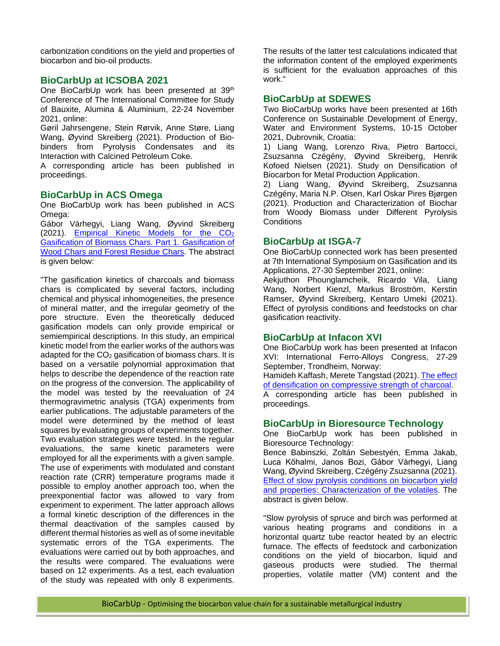carbonization conditions on the yield and properties of biocarbon and bio-oil products.

### **BioCarbUp at ICSOBA 2021**

One BioCarbUp work has been presented at 39<sup>th</sup> Conference of The International Committee for Study of Bauxite, Alumina & Aluminium, 22-24 November 2021, online:

Gøril Jahrsengene, Stein Rørvik, Anne Støre, Liang Wang, Øyvind Skreiberg (2021). Production of Biobinders from Pyrolysis Condensates and its Interaction with Calcined Petroleum Coke.

A corresponding article has been published in proceedings.

### **BioCarbUp in ACS Omega**

One BioCarbUp work has been published in ACS Omega:

Gábor Várhegyi, Liang Wang, Øyvind Skreiberg (2021). Empirical Kinetic Models for the CO<sub>2</sub> [Gasification of Biomass Chars. Part 1. Gasification of](http://doi.org/10.1021/acsomega.1c04577)  [Wood Chars and Forest Residue Chars.](http://doi.org/10.1021/acsomega.1c04577) The abstract is given below:

"The gasification kinetics of charcoals and biomass chars is complicated by several factors, including chemical and physical inhomogeneities, the presence of mineral matter, and the irregular geometry of the pore structure. Even the theoretically deduced gasification models can only provide empirical or semiempirical descriptions. In this study, an empirical kinetic model from the earlier works of the authors was adapted for the CO<sub>2</sub> gasification of biomass chars. It is based on a versatile polynomial approximation that helps to describe the dependence of the reaction rate on the progress of the conversion. The applicability of the model was tested by the reevaluation of 24 thermogravimetric analysis (TGA) experiments from earlier publications. The adjustable parameters of the model were determined by the method of least squares by evaluating groups of experiments together. Two evaluation strategies were tested. In the regular evaluations, the same kinetic parameters were employed for all the experiments with a given sample. The use of experiments with modulated and constant reaction rate (CRR) temperature programs made it possible to employ another approach too, when the preexponential factor was allowed to vary from experiment to experiment. The latter approach allows a formal kinetic description of the differences in the thermal deactivation of the samples caused by different thermal histories as well as of some inevitable systematic errors of the TGA experiments. The evaluations were carried out by both approaches, and the results were compared. The evaluations were based on 12 experiments. As a test, each evaluation of the study was repeated with only 8 experiments.

The results of the latter test calculations indicated that the information content of the employed experiments is sufficient for the evaluation approaches of this work."

### **BioCarbUp at SDEWES**

Two BioCarbUp works have been presented at 16th Conference on Sustainable Development of Energy, Water and Environment Systems, 10-15 October 2021, Dubrovnik, Croatia:

1) Liang Wang, Lorenzo Riva, Pietro Bartocci, Zsuzsanna Czégény, Øyvind Skreiberg, Henrik Kofoed Nielsen (2021). Study on Densification of Biocarbon for Metal Production Application.

2) Liang Wang, Øyvind Skreiberg, Zsuzsanna Czégény, Maria N.P. Olsen, Karl Oskar Pires Bjørgen (2021). Production and Characterization of Biochar from Woody Biomass under Different Pyrolysis **Conditions** 

### **BioCarbUp at ISGA-7**

One BioCarbUp connected work has been presented at 7th International Symposium on Gasification and its Applications, 27-30 September 2021, online:

Aekjuthon Phounglamcheik, Ricardo Vila, Liang Wang, Norbert Kienzl, Markus Broström, Kerstin Ramser, Øyvind Skreiberg, Kentaro Umeki (2021). Effect of pyrolysis conditions and feedstocks on char gasification reactivity.

### **BioCarbUp at Infacon XVI**

One BioCarbUp work has been presented at Infacon XVI: International Ferro-Alloys Congress, 27-29 September, Trondheim, Norway:

Hamideh Kaffash, Merete Tangstad (2021). [The effect](https://papers.ssrn.com/sol3/papers.cfm?abstract_id=3926700)  [of densification on compressive strength of charcoal.](https://papers.ssrn.com/sol3/papers.cfm?abstract_id=3926700)

A corresponding article has been published in proceedings.

### **BioCarbUp in Bioresource Technology**

One BioCarbUp work has been published in Bioresource Technology:

Bence Babinszki, Zoltán Sebestyén, Emma Jakab, Luca Kőhalmi, Janos Bozi, Gábor Várhegyi, Liang Wang, Øyvind Skreiberg, Czégény Zsuzsanna (2021). [Effect of slow pyrolysis conditions on biocarbon yield](https://doi.org/10.1016/j.biortech.2021.125567)  [and properties: Characterization of the volatiles.](https://doi.org/10.1016/j.biortech.2021.125567) The abstract is given below.

"Slow pyrolysis of spruce and birch was performed at various heating programs and conditions in a horizontal quartz tube reactor heated by an electric furnace. The effects of feedstock and carbonization conditions on the yield of biocarbon, liquid and gaseous products were studied. The thermal properties, volatile matter (VM) content and the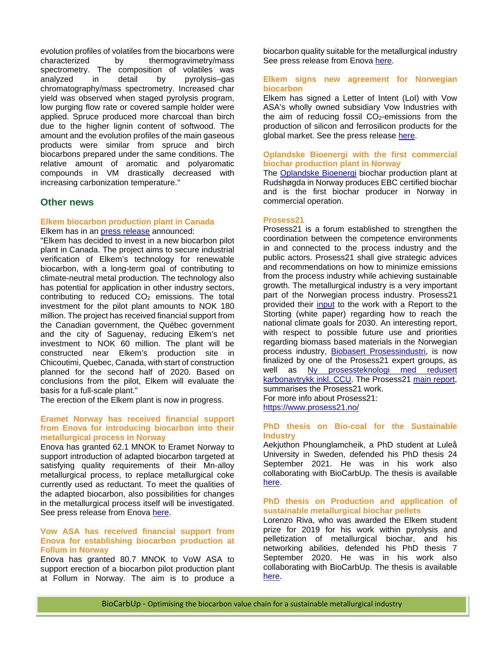evolution profiles of volatiles from the biocarbons were characterized by thermogravimetry/mass spectrometry. The composition of volatiles was analyzed in detail by pyrolysis–gas chromatography/mass spectrometry. Increased char yield was observed when staged pyrolysis program, low purging flow rate or covered sample holder were applied. Spruce produced more charcoal than birch due to the higher lignin content of softwood. The amount and the evolution profiles of the main gaseous products were similar from spruce and birch biocarbons prepared under the same conditions. The relative amount of aromatic and polyaromatic compounds in VM drastically decreased with increasing carbonization temperature."

#### **Other news**

#### **Elkem biocarbon production plant in Canada**

Elkem has in an [press release](https://www.elkem.com/no/presserom/nyheter/article/?itemid=2E9145D5839266E7) announced:

"Elkem has decided to invest in a new biocarbon pilot plant in Canada. The project aims to secure industrial verification of Elkem's technology for renewable biocarbon, with a long-term goal of contributing to climate-neutral metal production. The technology also has potential for application in other industry sectors, contributing to reduced CO<sub>2</sub> emissions. The total investment for the pilot plant amounts to NOK 180 million. The project has received financial support from the Canadian government, the Québec government and the city of Saguenay, reducing Elkem's net investment to NOK 60 million. The plant will be constructed near Elkem's production site in Chicoutimi, Quebec, Canada, with start of construction planned for the second half of 2020. Based on conclusions from the pilot, Elkem will evaluate the basis for a full-scale plant."

The erection of the Elkem plant is now in progress.

#### **Eramet Norway has received financial support from Enova for introducing biocarbon into their metallurgical process in Norway**

Enova has granted 62.1 MNOK to Eramet Norway to support introduction of adapted biocarbon targeted at satisfying quality requirements of their Mn-alloy metallurgical process, to replace metallurgical coke currently used as reductant. To meet the qualities of the adapted biocarbon, also possibilities for changes in the metallurgical process itself will be investigated. See press release from Enova [here.](https://presse.enova.no/pressreleases/eramet-norway-faar-621-millioner-kroner-fra-enova-til-banebrytende-biokarbonprosjekt-3143727)

#### **Vow ASA has received financial support from Enova for establishing biocarbon production at Follum in Norway**

Enova has granted 80.7 MNOK to VoW ASA to support erection of a biocarbon pilot production plant at Follum in Norway. The aim is to produce a

biocarbon quality suitable for the metallurgical industry See press release from Enova [here.](https://presse.enova.no/pressreleases/pilot-skal-fremstille-unikt-biokull-3099004)

#### **Elkem signs new agreement for Norwegian biocarbon**

Elkem has signed a Letter of Intent (LoI) with Vow ASA's wholly owned subsidiary Vow Industries with the aim of reducing fossil  $CO<sub>2</sub>$ -emissions from the production of silicon and ferrosilicon products for the global market. See the press release [here.](https://mb.cision.com/Public/16930/3277572/af386d0314783f9b.pdf)

#### **Oplandske Bioenergi with the first commercial biochar production plant in Norway**

The [Oplandske Bioenergi](https://oplandske.no/) biochar production plant at Rudshøgda in Norway produces EBC certified biochar and is the first biochar producer in Norway in commercial operation.

#### **Prosess21**

Prosess21 is a forum established to strengthen the coordination between the competence environments in and connected to the process industry and the public actors. Prosess21 shall give strategic advices and recommendations on how to minimize emissions from the process industry while achieving sustainable growth. The metallurgical industry is a very important part of the Norwegian process industry. Prosess21 provided their [input](https://www.prosess21.no/contentassets/0ffe3f03d1354d9c8d8b637d90ec2fb2/200516-prosess21-innspill-klimaplan-2030-final.pdf) to the work with a Report to the Storting (white paper) regarding how to reach the national climate goals for 2030. An interesting report, with respect to possible future use and priorities regarding biomass based materials in the Norwegian process industry, [Biobasert Prosessindustri,](https://www.prosess21.no/contentassets/8fdf5202cb224ce0bb2cf1aa1a9a9384/prosess21_biobasert-prosessindustri_ekspertgrupperapport_def.pdf) is now finalized by one of the Prosess21 expert groups, as well as Ny prosessteknologi med redusert [karbonavtrykk inkl. CCU.](https://www.prosess21.no/contentassets/3fd14f33bbfc40ff93f0fcf4402bd7ea/p21_rapport_ny-prosessteknologi_web-1.pdf) The Prosess21 [main report,](https://www.prosess21.no/contentassets/795fa8a170b24cac98c82e075ba0b695/prosess21_rapport_hovedrapport_web_oppdatert_060821.pdf) summarises the Prosess21 work. For more info about Prosess21: <https://www.prosess21.no/>

**PhD thesis on Bio-coal for the Sustainable Industry**

Aekjuthon Phounglamcheik, a PhD student at Luleå University in Sweden, defended his PhD thesis 24 September 2021. He was in his work also collaborating with BioCarbUp. The thesis is available [here.](https://ltu.diva-portal.org/smash/get/diva2:1556171/FULLTEXT02.pdf)

#### **PhD thesis on Production and application of sustainable metallurgical biochar pellets**

Lorenzo Riva, who was awarded the Elkem student prize for 2019 for his work within pyrolysis and pelletization of metallurgical biochar, and his networking abilities, defended his PhD thesis 7 September 2020. He was in his work also collaborating with BioCarbUp. The thesis is available [here.](https://uia.brage.unit.no/uia-xmlui/handle/11250/2675537?locale-attribute=en)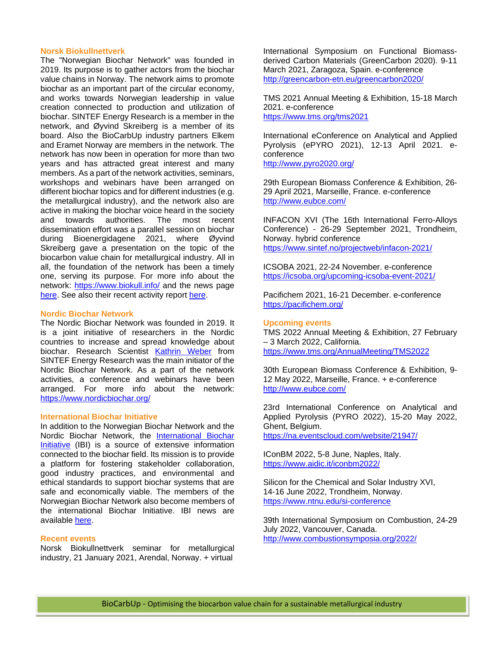#### **Norsk Biokullnettverk**

The "Norwegian Biochar Network" was founded in 2019. Its purpose is to gather actors from the biochar value chains in Norway. The network aims to promote biochar as an important part of the circular economy, and works towards Norwegian leadership in value creation connected to production and utilization of biochar. SINTEF Energy Research is a member in the network, and Øyvind Skreiberg is a member of its board. Also the BioCarbUp industry partners Elkem and Eramet Norway are members in the network. The network has now been in operation for more than two years and has attracted great interest and many members. As a part of the network activities, seminars, workshops and webinars have been arranged on different biochar topics and for different industries (e.g. the metallurgical industry), and the network also are active in making the biochar voice heard in the society<br>and towards authorities. The most recent The most recent dissemination effort was a parallel session on biochar during Bioenergidagene 2021, where Øyvind Skreiberg gave a presentation on the topic of the biocarbon value chain for metallurgical industry. All in all, the foundation of the network has been a timely one, serving its purpose. For more info about the network:<https://www.biokull.info/> and the news page [here.](https://www.biokull.info/nyheter) See also their recent activity report [here.](https://www.biokull.info/s/Aktivitetsrapport-2020-2021-2frt.pdf)

#### **Nordic Biochar Network**

The Nordic Biochar Network was founded in 2019. It is a joint initiative of researchers in the Nordic countries to increase and spread knowledge about biochar. Research Scientist [Kathrin](https://www.sintef.no/alle-ansatte/ansatt/?empid=7735) Weber from SINTEF Energy Research was the main initiator of the Nordic Biochar Network. As a part of the network activities, a conference and webinars have been arranged. For more info about the network: <https://www.nordicbiochar.org/>

#### **International Biochar Initiative**

In addition to the Norwegian Biochar Network and the Nordic Biochar Network, the [International Biochar](https://biochar-international.org/)  [Initiative](https://biochar-international.org/) (IBI) is a source of extensive information connected to the biochar field. Its mission is to provide a platform for fostering stakeholder collaboration, good industry practices, and environmental and ethical standards to support biochar systems that are safe and economically viable. The members of the Norwegian Biochar Network also become members of the international Biochar Initiative. IBI news are available [here.](https://biochar-international.org/news/)

#### **Recent events**

Norsk Biokullnettverk seminar for metallurgical industry, 21 January 2021, Arendal, Norway. + virtual

International Symposium on Functional Biomassderived Carbon Materials (GreenCarbon 2020). 9-11 March 2021, Zaragoza, Spain. e-conference <http://greencarbon-etn.eu/greencarbon2020/>

TMS 2021 Annual Meeting & Exhibition, 15-18 March 2021. e-conference <https://www.tms.org/tms2021>

International eConference on Analytical and Applied Pyrolysis (ePYRO 2021), 12-13 April 2021. econference <http://www.pyro2020.org/>

29th European Biomass Conference & Exhibition, 26- 29 April 2021, Marseille, France. e-conference <http://www.eubce.com/>

INFACON XVI (The 16th International Ferro-Alloys Conference) - 26-29 September 2021, Trondheim, Norway. hybrid conference <https://www.sintef.no/projectweb/infacon-2021/>

ICSOBA 2021, 22-24 November. e-conference <https://icsoba.org/upcoming-icsoba-event-2021/>

Pacifichem 2021, 16-21 December. e-conference <https://pacifichem.org/>

#### **Upcoming events**

TMS 2022 Annual Meeting & Exhibition, 27 February – 3 March 2022, California. <https://www.tms.org/AnnualMeeting/TMS2022>

30th European Biomass Conference & Exhibition, 9- 12 May 2022, Marseille, France. + e-conference <http://www.eubce.com/>

23rd International Conference on Analytical and Applied Pyrolysis (PYRO 2022), 15-20 May 2022, Ghent, Belgium.

<https://na.eventscloud.com/website/21947/>

IConBM 2022, 5-8 June, Naples, Italy. <https://www.aidic.it/iconbm2022/>

Silicon for the Chemical and Solar Industry XVI, 14-16 June 2022, Trondheim, Norway. <https://www.ntnu.edu/si-conference>

39th International Symposium on Combustion, 24-29 July 2022, Vancouver, Canada. <http://www.combustionsymposia.org/2022/>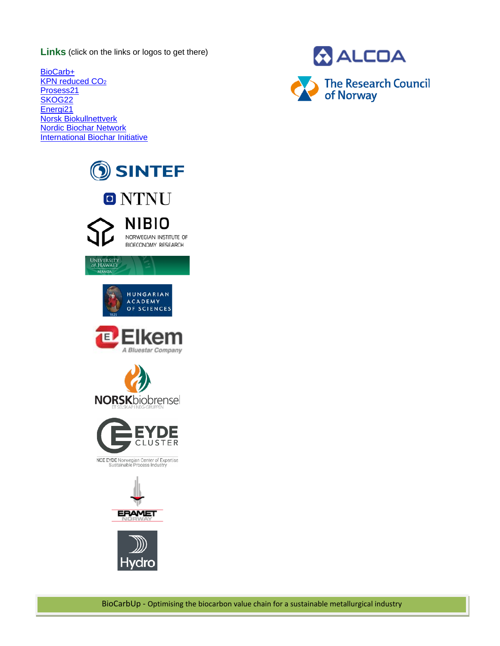**Links** (click on the links or logos to get there)

[BioCarb+](http://www.sintef.no/biocarb) [KPN reduced CO2](https://www.sintef.no/en/projects/reduced-co2-reduced-co2-emissions-in-metal-production/) [Prosess21](https://www.prosess21.no/) [SKOG22](https://www.regjeringen.no/no/dokumenter/skog-22--nasjonal-strategi-for-skog--og-trenaringen/id2363770/) [Energi21](http://www.energi21.no/) [Norsk Biokullnettverk](https://www.biokull.info/) [Nordic Biochar Network](https://www.nordicbiochar.org/) [International Biochar Initiative](https://biochar-international.org/)







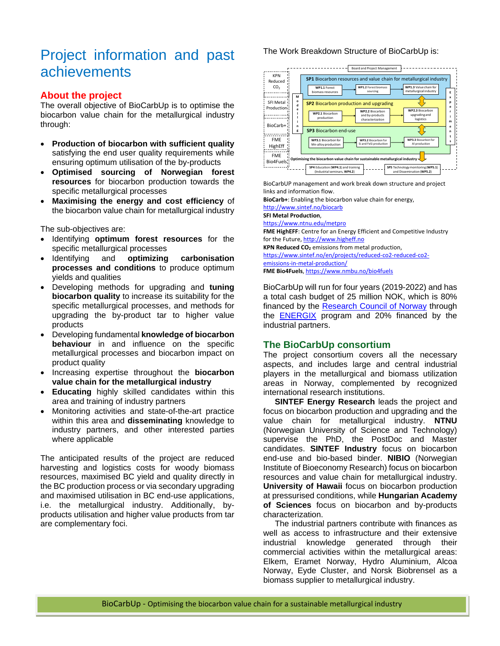# Project information and past achievements

### **About the project**

The overall objective of BioCarbUp is to optimise the biocarbon value chain for the metallurgical industry through:

- **Production of biocarbon with sufficient quality** satisfying the end user quality requirements while ensuring optimum utilisation of the by-products
- **Optimised sourcing of Norwegian forest resources** for biocarbon production towards the specific metallurgical processes
- **Maximising the energy and cost efficiency** of the biocarbon value chain for metallurgical industry

The sub-objectives are:

- Identifying **optimum forest resources** for the specific metallurgical processes
- Identifying and **optimizing carbonisation processes and conditions** to produce optimum yields and qualities
- Developing methods for upgrading and **tuning biocarbon quality** to increase its suitability for the specific metallurgical processes, and methods for upgrading the by-product tar to higher value products
- Developing fundamental **knowledge of biocarbon behaviour** in and influence on the specific metallurgical processes and biocarbon impact on product quality
- Increasing expertise throughout the **biocarbon value chain for the metallurgical industry**
- **Educating** highly skilled candidates within this area and training of industry partners
- Monitoring activities and state-of-the-art practice within this area and **disseminating** knowledge to industry partners, and other interested parties where applicable

The anticipated results of the project are reduced harvesting and logistics costs for woody biomass resources, maximised BC yield and quality directly in the BC production process or via secondary upgrading and maximised utilisation in BC end-use applications, i.e. the metallurgical industry. Additionally, byproducts utilisation and higher value products from tar are complementary foci.

### The Work Breakdown Structure of BioCarbUp is:



BioCarbUP management and work break down structure and project links and information flow.

**BioCarb+**: Enabling the biocarbon value chain for energy,

<http://www.sintef.no/biocarb> **SFI Metal Production**,

<https://www.ntnu.edu/metpro>

**FME HighEFF**: Centre for an Energy Efficient and Competitive Industry for the Future, [http://www.higheff.no](http://www.higheff.no/)

**KPN Reduced CO2** emissions from metal production, [https://www.sintef.no/en/projects/reduced-co2-reduced-co2](https://www.sintef.no/en/projects/reduced-co2-reduced-co2-emissions-in-metal-production/) [emissions-in-metal-production/](https://www.sintef.no/en/projects/reduced-co2-reduced-co2-emissions-in-metal-production/) **FME Bio4Fuels**[, https://www.nmbu.no/bio4fuels](https://www.nmbu.no/bio4fuels)

BioCarbUp will run for four years (2019-2022) and has a total cash budget of 25 million NOK, which is 80% financed by the [Research Council of Norway](https://www.forskningsradet.no/en/) through the **[ENERGIX](https://www.forskningsradet.no/en/about-the-research-council/programmes/energix-stort-program-energi/)** program and 20% financed by the industrial partners.

## **The BioCarbUp consortium**

The project consortium covers all the necessary aspects, and includes large and central industrial players in the metallurgical and biomass utilization areas in Norway, complemented by recognized international research institutions.

**SINTEF Energy Research** leads the project and focus on biocarbon production and upgrading and the value chain for metallurgical industry. **NTNU** (Norwegian University of Science and Technology) supervise the PhD, the PostDoc and Master candidates. **SINTEF Industry** focus on biocarbon end-use and bio-based binder. **NIBIO** (Norwegian Institute of Bioeconomy Research) focus on biocarbon resources and value chain for metallurgical industry. **University of Hawaii** focus on biocarbon production at pressurised conditions, while **Hungarian Academy of Sciences** focus on biocarbon and by-products characterization.

The industrial partners contribute with finances as well as access to infrastructure and their extensive industrial knowledge generated through their commercial activities within the metallurgical areas: Elkem, Eramet Norway, Hydro Aluminium, Alcoa Norway, Eyde Cluster, and Norsk Biobrensel as a biomass supplier to metallurgical industry.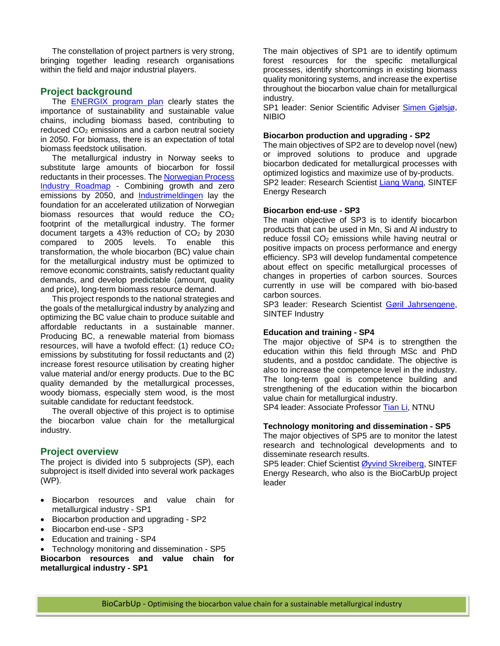The constellation of project partners is very strong, bringing together leading research organisations within the field and major industrial players.

### **Project background**

The **ENERGIX** program plan clearly states the importance of sustainability and sustainable value chains, including biomass based, contributing to reduced CO2 emissions and a carbon neutral society in 2050. For biomass, there is an expectation of total biomass feedstock utilisation.

The metallurgical industry in Norway seeks to substitute large amounts of biocarbon for fossil reductants in their processes. The [Norwegian Process](https://www.norskindustri.no/siteassets/dokumenter/rapporter-og-brosjyrer/the-norwegian-process-industries-roadmap-summary.pdf)  [Industry Roadmap](https://www.norskindustri.no/siteassets/dokumenter/rapporter-og-brosjyrer/the-norwegian-process-industries-roadmap-summary.pdf) - Combining growth and zero emissions by 2050, and [Industrimeldingen](https://www.regjeringen.no/no/dokumenter/meld.-st.-27-20162017/id2546209/) lay the foundation for an accelerated utilization of Norwegian biomass resources that would reduce the CO<sub>2</sub> footprint of the metallurgical industry. The former document targets a 43% reduction of  $CO<sub>2</sub>$  by 2030 compared to 2005 levels. To enable this transformation, the whole biocarbon (BC) value chain for the metallurgical industry must be optimized to remove economic constraints, satisfy reductant quality demands, and develop predictable (amount, quality and price), long-term biomass resource demand.

This project responds to the national strategies and the goals of the metallurgical industry by analyzing and optimizing the BC value chain to produce suitable and affordable reductants in a sustainable manner. Producing BC, a renewable material from biomass resources, will have a twofold effect: (1) reduce CO2 emissions by substituting for fossil reductants and (2) increase forest resource utilisation by creating higher value material and/or energy products. Due to the BC quality demanded by the metallurgical processes, woody biomass, especially stem wood, is the most suitable candidate for reductant feedstock.

The overall objective of this project is to optimise the biocarbon value chain for the metallurgical industry.

### **Project overview**

The project is divided into 5 subprojects (SP), each subproject is itself divided into several work packages (WP).

- Biocarbon resources and value chain for metallurgical industry - SP1
- Biocarbon production and upgrading SP2
- Biocarbon end-use SP3
- Education and training SP4
- Technology monitoring and dissemination SP5

**Biocarbon resources and value chain for metallurgical industry - SP1**

The main objectives of SP1 are to identify optimum forest resources for the specific metallurgical processes, identify shortcomings in existing biomass quality monitoring systems, and increase the expertise throughout the biocarbon value chain for metallurgical industry.

SP1 leader: Senior Scientific Adviser [Simen Gjølsjø,](https://www.nibio.no/ansatte/simen-gjolsjo) NIBIO

#### **Biocarbon production and upgrading - SP2**

The main objectives of SP2 are to develop novel (new) or improved solutions to produce and upgrade biocarbon dedicated for metallurgical processes with optimized logistics and maximize use of by-products. SP2 leader: Research Scientist [Liang Wang,](https://www.sintef.no/alle-ansatte/ansatt/?empid=3818) SINTEF Energy Research

#### **Biocarbon end-use - SP3**

The main objective of SP3 is to identify biocarbon products that can be used in Mn, Si and Al industry to reduce fossil CO<sub>2</sub> emissions while having neutral or positive impacts on process performance and energy efficiency. SP3 will develop fundamental competence about effect on specific metallurgical processes of changes in properties of carbon sources. Sources currently in use will be compared with bio-based carbon sources.

SP3 leader: Research Scientist [Gøril Jahrsengene,](https://www.sintef.no/alle-ansatte/ansatt/?empid=7897) SINTEF Industry

#### **Education and training - SP4**

The major objective of SP4 is to strengthen the education within this field through MSc and PhD students, and a postdoc candidate. The objective is also to increase the competence level in the industry. The long-term goal is competence building and strengthening of the education within the biocarbon value chain for metallurgical industry.

SP4 leader: Associate Professor [Tian Li,](https://www.ntnu.no/ansatte/tian.li) NTNU

#### **Technology monitoring and dissemination - SP5**

The major objectives of SP5 are to monitor the latest research and technological developments and to disseminate research results.

SP5 leader: Chief Scientist [Øyvind Skreiberg,](https://www.sintef.no/alle-ansatte/ansatt/?empid=2677) SINTEF Energy Research, who also is the BioCarbUp project leader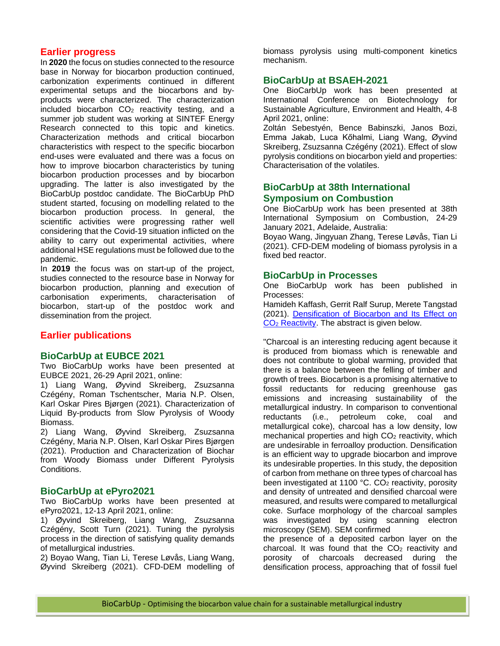### **Earlier progress**

In **2020** the focus on studies connected to the resource base in Norway for biocarbon production continued, carbonization experiments continued in different experimental setups and the biocarbons and byproducts were characterized. The characterization included biocarbon  $CO<sub>2</sub>$  reactivity testing, and a summer job student was working at SINTEF Energy Research connected to this topic and kinetics. Characterization methods and critical biocarbon characteristics with respect to the specific biocarbon end-uses were evaluated and there was a focus on how to improve biocarbon characteristics by tuning biocarbon production processes and by biocarbon upgrading. The latter is also investigated by the BioCarbUp postdoc candidate. The BioCarbUp PhD student started, focusing on modelling related to the biocarbon production process. In general, the scientific activities were progressing rather well considering that the Covid-19 situation inflicted on the ability to carry out experimental activities, where additional HSE regulations must be followed due to the pandemic.

In **2019** the focus was on start-up of the project, studies connected to the resource base in Norway for biocarbon production, planning and execution of carbonisation experiments, characterisation of biocarbon, start-up of the postdoc work and dissemination from the project.

### **Earlier publications**

#### **BioCarbUp at EUBCE 2021**

Two BioCarbUp works have been presented at EUBCE 2021, 26-29 April 2021, online:

1) Liang Wang, Øyvind Skreiberg, Zsuzsanna Czégény, Roman Tschentscher, Maria N.P. Olsen, Karl Oskar Pires Bjørgen (2021). Characterization of Liquid By-products from Slow Pyrolysis of Woody Biomass.

2) Liang Wang, Øyvind Skreiberg, Zsuzsanna Czégény, Maria N.P. Olsen, Karl Oskar Pires Bjørgen (2021). Production and Characterization of Biochar from Woody Biomass under Different Pyrolysis Conditions.

### **BioCarbUp at ePyro2021**

Two BioCarbUp works have been presented at ePyro2021, 12-13 April 2021, online:

1) Øyvind Skreiberg, Liang Wang, Zsuzsanna Czégény, Scott Turn (2021). Tuning the pyrolysis process in the direction of satisfying quality demands of metallurgical industries.

2) Boyao Wang, Tian Li, Terese Løvås, Liang Wang, Øyvind Skreiberg (2021). CFD-DEM modelling of biomass pyrolysis using multi-component kinetics mechanism.

### **BioCarbUp at BSAEH-2021**

One BioCarbUp work has been presented at International Conference on Biotechnology for Sustainable Agriculture, Environment and Health, 4-8 April 2021, online:

Zoltán Sebestyén, Bence Babinszki, Janos Bozi, Emma Jakab, Luca Kőhalmi, Liang Wang, Øyvind Skreiberg, Zsuzsanna Czégény (2021). Effect of slow pyrolysis conditions on biocarbon yield and properties: Characterisation of the volatiles.

### **BioCarbUp at 38th International Symposium on Combustion**

One BioCarbUp work has been presented at 38th International Symposium on Combustion, 24-29 January 2021, Adelaide, Australia:

Boyao Wang, Jingyuan Zhang, Terese Løvås, Tian Li (2021). CFD-DEM modeling of biomass pyrolysis in a fixed bed reactor.

#### **BioCarbUp in Processes**

One BioCarbUp work has been published in Processes:

Hamideh Kaffash, Gerrit Ralf Surup, Merete Tangstad (2021). [Densification of Biocarbon and Its Effect on](https://doi.org/10.3390/pr9020193)  CO2 [Reactivity.](https://doi.org/10.3390/pr9020193) The abstract is given below.

"Charcoal is an interesting reducing agent because it is produced from biomass which is renewable and does not contribute to global warming, provided that there is a balance between the felling of timber and growth of trees. Biocarbon is a promising alternative to fossil reductants for reducing greenhouse gas emissions and increasing sustainability of the metallurgical industry. In comparison to conventional reductants (i.e., petroleum coke, coal and metallurgical coke), charcoal has a low density, low mechanical properties and high  $CO<sub>2</sub>$  reactivity, which are undesirable in ferroalloy production. Densification is an efficient way to upgrade biocarbon and improve its undesirable properties. In this study, the deposition of carbon from methane on three types of charcoal has been investigated at 1100 °C. CO<sub>2</sub> reactivity, porosity and density of untreated and densified charcoal were measured, and results were compared to metallurgical coke. Surface morphology of the charcoal samples was investigated by using scanning electron microscopy (SEM). SEM confirmed

the presence of a deposited carbon layer on the charcoal. It was found that the  $CO<sub>2</sub>$  reactivity and porosity of charcoals decreased during the densification process, approaching that of fossil fuel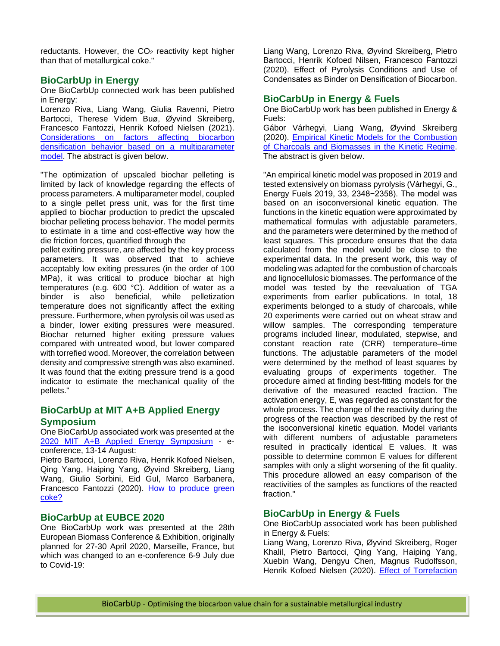reductants. However, the  $CO<sub>2</sub>$  reactivity kept higher than that of metallurgical coke."

### **BioCarbUp in Energy**

One BioCarbUp connected work has been published in Energy:

Lorenzo Riva, Liang Wang, Giulia Ravenni, Pietro Bartocci, Therese Videm Buø, Øyvind Skreiberg, Francesco Fantozzi, Henrik Kofoed Nielsen (2021). [Considerations on factors affecting biocarbon](https://doi.org/10.1016/j.energy.2021.119893)  [densification behavior based on a multiparameter](https://doi.org/10.1016/j.energy.2021.119893)  [model.](https://doi.org/10.1016/j.energy.2021.119893) The abstract is given below.

"The optimization of upscaled biochar pelleting is limited by lack of knowledge regarding the effects of process parameters. A multiparameter model, coupled to a single pellet press unit, was for the first time applied to biochar production to predict the upscaled biochar pelleting process behavior. The model permits to estimate in a time and cost-effective way how the die friction forces, quantified through the

pellet exiting pressure, are affected by the key process parameters. It was observed that to achieve acceptably low exiting pressures (in the order of 100 MPa), it was critical to produce biochar at high temperatures (e.g. 600 °C). Addition of water as a binder is also beneficial, while pelletization temperature does not significantly affect the exiting pressure. Furthermore, when pyrolysis oil was used as a binder, lower exiting pressures were measured. Biochar returned higher exiting pressure values compared with untreated wood, but lower compared with torrefied wood. Moreover, the correlation between density and compressive strength was also examined. It was found that the exiting pressure trend is a good indicator to estimate the mechanical quality of the pellets."

## **BioCarbUp at MIT A+B Applied Energy Symposium**

One BioCarbUp associated work was presented at the [2020 MIT A+B Applied Energy Symposium](https://applied-energy.org/mitab2020/) - econference, 13-14 August:

Pietro Bartocci, Lorenzo Riva, Henrik Kofoed Nielsen, Qing Yang, Haiping Yang, Øyvind Skreiberg, Liang Wang, Giulio Sorbini, Eid Gul, Marco Barbanera, Francesco Fantozzi (2020). [How to produce green](http://www.energy-proceedings.org/wp-content/uploads/2020/11/aeab2020_paper_77.pdf)  [coke?](http://www.energy-proceedings.org/wp-content/uploads/2020/11/aeab2020_paper_77.pdf)

### **BioCarbUp at EUBCE 2020**

One BioCarbUp work was presented at the 28th European Biomass Conference & Exhibition, originally planned for 27-30 April 2020, Marseille, France, but which was changed to an e-conference 6-9 July due to Covid-19:

Liang Wang, Lorenzo Riva, Øyvind Skreiberg, Pietro Bartocci, Henrik Kofoed Nilsen, Francesco Fantozzi (2020). Effect of Pyrolysis Conditions and Use of Condensates as Binder on Densification of Biocarbon.

### **BioCarbUp in Energy & Fuels**

One BioCarbUp work has been published in Energy & Fuels:

Gábor Várhegyi, Liang Wang, Øyvind Skreiberg (2020). [Empirical Kinetic Models for the Combustion](https://dx.doi.org/10.1021/acs.energyfuels.0c03248)  [of Charcoals and Biomasses](https://dx.doi.org/10.1021/acs.energyfuels.0c03248) in the Kinetic Regime. The abstract is given below.

"An empirical kinetic model was proposed in 2019 and tested extensively on biomass pyrolysis (Várhegyi, G., Energy Fuels 2019, 33, 2348−2358). The model was based on an isoconversional kinetic equation. The functions in the kinetic equation were approximated by mathematical formulas with adjustable parameters, and the parameters were determined by the method of least squares. This procedure ensures that the data calculated from the model would be close to the experimental data. In the present work, this way of modeling was adapted for the combustion of charcoals and lignocellulosic biomasses. The performance of the model was tested by the reevaluation of TGA experiments from earlier publications. In total, 18 experiments belonged to a study of charcoals, while 20 experiments were carried out on wheat straw and willow samples. The corresponding temperature programs included linear, modulated, stepwise, and constant reaction rate (CRR) temperature–time functions. The adjustable parameters of the model were determined by the method of least squares by evaluating groups of experiments together. The procedure aimed at finding best-fitting models for the derivative of the measured reacted fraction. The activation energy, E, was regarded as constant for the whole process. The change of the reactivity during the progress of the reaction was described by the rest of the isoconversional kinetic equation. Model variants with different numbers of adjustable parameters resulted in practically identical E values. It was possible to determine common E values for different samples with only a slight worsening of the fit quality. This procedure allowed an easy comparison of the reactivities of the samples as functions of the reacted fraction."

### **BioCarbUp in Energy & Fuels**

One BioCarbUp associated work has been published in Energy & Fuels:

Liang Wang, Lorenzo Riva, Øyvind Skreiberg, Roger Khalil, Pietro Bartocci, Qing Yang, Haiping Yang, Xuebin Wang, Dengyu Chen, Magnus Rudolfsson, Henrik Kofoed Nielsen (2020). [Effect of Torrefaction](https://pubs.acs.org/doi/10.1021/acs.energyfuels.0c02671)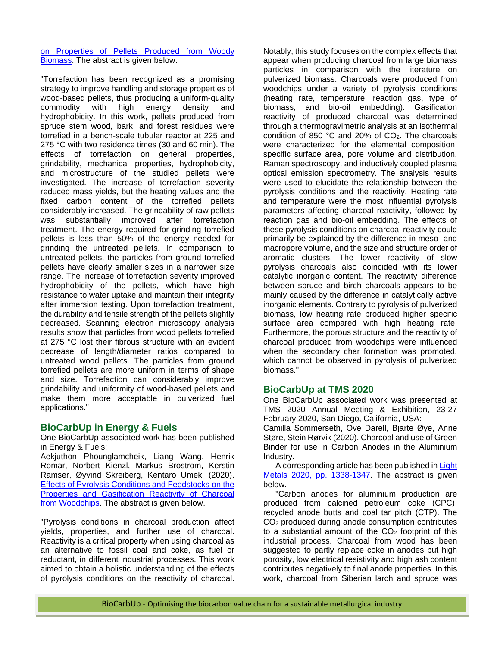#### [on Properties of Pellets Produced from Woody](https://pubs.acs.org/doi/10.1021/acs.energyfuels.0c02671)  [Biomass.](https://pubs.acs.org/doi/10.1021/acs.energyfuels.0c02671) The abstract is given below.

"Torrefaction has been recognized as a promising strategy to improve handling and storage properties of wood-based pellets, thus producing a uniform-quality commodity with high energy density and hydrophobicity. In this work, pellets produced from spruce stem wood, bark, and forest residues were torrefied in a bench-scale tubular reactor at 225 and 275 °C with two residence times (30 and 60 min). The effects of torrefaction on general properties, grindability, mechanical properties, hydrophobicity, and microstructure of the studied pellets were investigated. The increase of torrefaction severity reduced mass yields, but the heating values and the fixed carbon content of the torrefied pellets considerably increased. The grindability of raw pellets was substantially improved after torrefaction treatment. The energy required for grinding torrefied pellets is less than 50% of the energy needed for grinding the untreated pellets. In comparison to untreated pellets, the particles from ground torrefied pellets have clearly smaller sizes in a narrower size range. The increase of torrefaction severity improved hydrophobicity of the pellets, which have high resistance to water uptake and maintain their integrity after immersion testing. Upon torrefaction treatment, the durability and tensile strength of the pellets slightly decreased. Scanning electron microscopy analysis results show that particles from wood pellets torrefied at 275 °C lost their fibrous structure with an evident decrease of length/diameter ratios compared to untreated wood pellets. The particles from ground torrefied pellets are more uniform in terms of shape and size. Torrefaction can considerably improve grindability and uniformity of wood-based pellets and make them more acceptable in pulverized fuel applications."

## **BioCarbUp in Energy & Fuels**

One BioCarbUp associated work has been published in Energy & Fuels:

Aekjuthon Phounglamcheik, Liang Wang, Henrik Romar, Norbert Kienzl, Markus Broström, Kerstin Ramser, Øyvind Skreiberg, Kentaro Umeki (2020). [Effects of Pyrolysis Conditions and Feedstocks on the](https://doi.org/10.1021/acs.energyfuels.0c00592)  [Properties and Gasification Reactivity of Charcoal](https://doi.org/10.1021/acs.energyfuels.0c00592)  [from Woodchips.](https://doi.org/10.1021/acs.energyfuels.0c00592) The abstract is given below.

"Pyrolysis conditions in charcoal production affect yields, properties, and further use of charcoal. Reactivity is a critical property when using charcoal as an alternative to fossil coal and coke, as fuel or reductant, in different industrial processes. This work aimed to obtain a holistic understanding of the effects of pyrolysis conditions on the reactivity of charcoal.

Notably, this study focuses on the complex effects that appear when producing charcoal from large biomass particles in comparison with the literature on pulverized biomass. Charcoals were produced from woodchips under a variety of pyrolysis conditions (heating rate, temperature, reaction gas, type of biomass, and bio-oil embedding). Gasification reactivity of produced charcoal was determined through a thermogravimetric analysis at an isothermal condition of 850  $^{\circ}$ C and 20% of CO<sub>2</sub>. The charcoals were characterized for the elemental composition, specific surface area, pore volume and distribution, Raman spectroscopy, and inductively coupled plasma optical emission spectrometry. The analysis results were used to elucidate the relationship between the pyrolysis conditions and the reactivity. Heating rate and temperature were the most influential pyrolysis parameters affecting charcoal reactivity, followed by reaction gas and bio-oil embedding. The effects of these pyrolysis conditions on charcoal reactivity could primarily be explained by the difference in meso- and macropore volume, and the size and structure order of aromatic clusters. The lower reactivity of slow pyrolysis charcoals also coincided with its lower catalytic inorganic content. The reactivity difference between spruce and birch charcoals appears to be mainly caused by the difference in catalytically active inorganic elements. Contrary to pyrolysis of pulverized biomass, low heating rate produced higher specific surface area compared with high heating rate. Furthermore, the porous structure and the reactivity of charcoal produced from woodchips were influenced when the secondary char formation was promoted, which cannot be observed in pyrolysis of pulverized biomass."

### **BioCarbUp at TMS 2020**

One BioCarbUp associated work was presented at TMS 2020 Annual Meeting & Exhibition, 23-27 February 2020, San Diego, California, USA:

Camilla Sommerseth, Ove Darell, Bjarte Øye, Anne Støre, Stein Rørvik (2020). Charcoal and use of Green Binder for use in Carbon Anodes in the Aluminium Industry.

A corresponding article has been published in Light [Metals 2020, pp. 1338-1347.](https://doi.org/10.1007/978-3-030-36408-3_183) The abstract is given below.

"Carbon anodes for aluminium production are produced from calcined petroleum coke (CPC), recycled anode butts and coal tar pitch (CTP). The CO2 produced during anode consumption contributes to a substantial amount of the  $CO<sub>2</sub>$  footprint of this industrial process. Charcoal from wood has been suggested to partly replace coke in anodes but high porosity, low electrical resistivity and high ash content contributes negatively to final anode properties. In this work, charcoal from Siberian larch and spruce was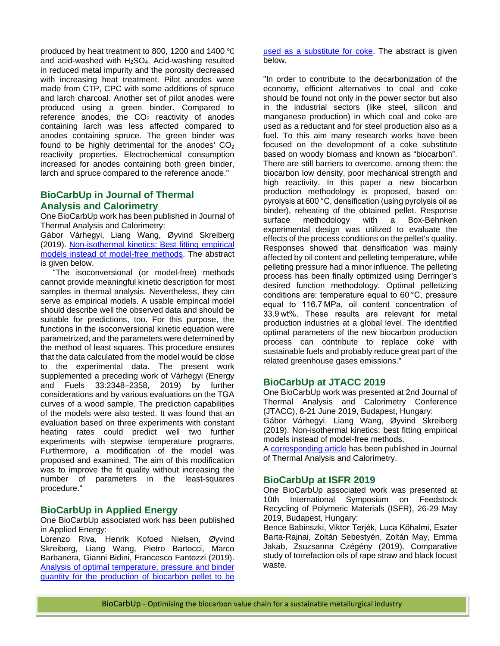produced by heat treatment to 800, 1200 and 1400 ℃ and acid-washed with  $H_2SO_4$ . Acid-washing resulted in reduced metal impurity and the porosity decreased with increasing heat treatment. Pilot anodes were made from CTP, CPC with some additions of spruce and larch charcoal. Another set of pilot anodes were produced using a green binder. Compared to reference anodes, the  $CO<sub>2</sub>$  reactivity of anodes containing larch was less affected compared to anodes containing spruce. The green binder was found to be highly detrimental for the anodes'  $CO<sub>2</sub>$ reactivity properties. Electrochemical consumption increased for anodes containing both green binder, larch and spruce compared to the reference anode."

### **BioCarbUp in Journal of Thermal Analysis and Calorimetry**

One BioCarbUp work has been published in Journal of Thermal Analysis and Calorimetry:

Gábor Várhegyi, Liang Wang, Øyvind Skreiberg (2019). [Non-isothermal kinetics: Best](https://doi.org/10.1007/s10973-019-09162-z) fitting empirical [models instead of model-free methods.](https://doi.org/10.1007/s10973-019-09162-z) The abstract is given below.

"The isoconversional (or model-free) methods cannot provide meaningful kinetic description for most samples in thermal analysis. Nevertheless, they can serve as empirical models. A usable empirical model should describe well the observed data and should be suitable for predictions, too. For this purpose, the functions in the isoconversional kinetic equation were parametrized, and the parameters were determined by the method of least squares. This procedure ensures that the data calculated from the model would be close to the experimental data. The present work supplemented a preceding work of Várhegyi (Energy and Fuels 33:2348–2358, 2019) by further considerations and by various evaluations on the TGA curves of a wood sample. The prediction capabilities of the models were also tested. It was found that an evaluation based on three experiments with constant heating rates could predict well two further experiments with stepwise temperature programs. Furthermore, a modification of the model was proposed and examined. The aim of this modification was to improve the fit quality without increasing the number of parameters in the least-squares procedure."

### **BioCarbUp in Applied Energy**

One BioCarbUp associated work has been published in Applied Energy:

Lorenzo Riva, Henrik Kofoed Nielsen, Øyvind Skreiberg, Liang Wang, Pietro Bartocci, Marco Barbanera, Gianni Bidini, Francesco Fantozzi (2019). [Analysis of optimal temperature, pressure and binder](https://doi.org/10.1016/j.apenergy.2019.113933)  [quantity for the production of biocarbon pellet to be](https://doi.org/10.1016/j.apenergy.2019.113933) 

[used as a substitute for coke.](https://doi.org/10.1016/j.apenergy.2019.113933) The abstract is given below.

"In order to contribute to the decarbonization of the economy, efficient alternatives to coal and coke should be found not only in the power sector but also in the industrial sectors (like steel, silicon and manganese production) in which coal and coke are used as a reductant and for steel production also as a fuel. To this aim many research works have been focused on the development of a coke substitute based on woody biomass and known as "biocarbon". There are still barriers to overcome, among them: the biocarbon low density, poor mechanical strength and high reactivity. In this paper a new biocarbon production methodology is proposed, based on: pyrolysis at 600 °C, densification (using pyrolysis oil as binder), reheating of the obtained pellet. Response<br>surface methodology with a Box-Behnken surface methodology with a Box-Behnken experimental design was utilized to evaluate the effects of the process conditions on the pellet's quality. Responses showed that densification was mainly affected by oil content and pelleting temperature, while pelleting pressure had a minor influence. The pelleting process has been finally optimized using Derringer's desired function methodology. Optimal pelletizing conditions are: temperature equal to 60 °C, pressure equal to 116.7 MPa, oil content concentration of 33.9 wt%. These results are relevant for metal production industries at a global level. The identified optimal parameters of the new biocarbon production process can contribute to replace coke with sustainable fuels and probably reduce great part of the related greenhouse gases emissions."

### **BioCarbUp at JTACC 2019**

One BioCarbUp work was presented at 2nd Journal of Thermal Analysis and Calorimetry Conference (JTACC), 8-21 June 2019, Budapest, Hungary: Gábor Várhegyi, Liang Wang, Øyvind Skreiberg (2019). Non-isothermal kinetics: best fitting empirical models instead of model-free methods.

A [corresponding article](https://doi.org/10.1007/s10973-019-09162-z) has been published in Journal of Thermal Analysis and Calorimetry.

### **BioCarbUp at ISFR 2019**

One BioCarbUp associated work was presented at 10th International Symposium on Feedstock Recycling of Polymeric Materials (ISFR), 26-29 May 2019, Budapest, Hungary:

Bence Babinszki, Viktor Terjék, Luca Kőhalmi, Eszter Barta-Rajnai, Zoltán Sebestyén, Zoltán May, Emma Jakab, Zsuzsanna Czégény (2019). Comparative study of torrefaction oils of rape straw and black locust waste.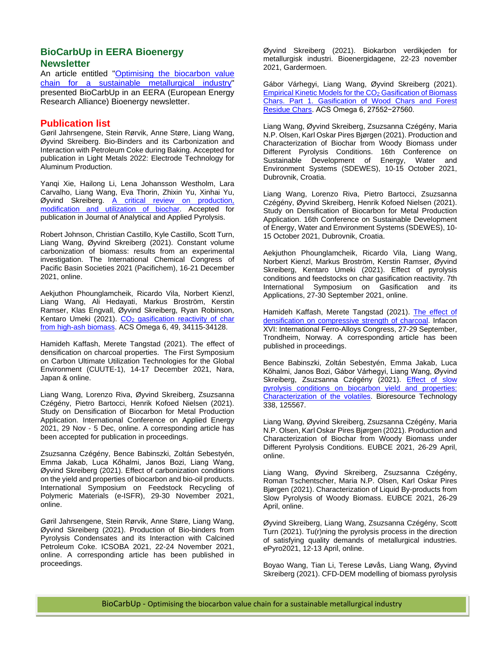### **BioCarbUp in EERA Bioenergy Newsletter**

An article entitled ["Optimising the biocarbon value](http://www.eera-bioenergy.eu/wp-content/uploads/pdf/EERABioenergyNewsletterIssue11.pdf)  [chain for a sustainable metallurgical industry"](http://www.eera-bioenergy.eu/wp-content/uploads/pdf/EERABioenergyNewsletterIssue11.pdf) presented BioCarbUp in an EERA (European Energy Research Alliance) Bioenergy newsletter.

### **Publication list**

Gøril Jahrsengene, Stein Rørvik, Anne Støre, Liang Wang, Øyvind Skreiberg. Bio-Binders and its Carbonization and Interaction with Petroleum Coke during Baking. Accepted for publication in Light Metals 2022: Electrode Technology for Aluminum Production.

Yanqi Xie, Hailong Li, Lena Johansson Westholm, Lara Carvalho, Liang Wang, Eva Thorin, Zhixin Yu, Xinhai Yu, Øyvind Skreiberg. [A critical review on production,](https://doi.org/10.1016/j.jaap.2021.105405)  [modification and utilization of biochar.](https://doi.org/10.1016/j.jaap.2021.105405) Accepted for publication in Journal of Analytical and Applied Pyrolysis.

Robert Johnson, Christian Castillo, Kyle Castillo, Scott Turn, Liang Wang, Øyvind Skreiberg (2021). Constant volume carbonization of biomass: results from an experimental investigation. The International Chemical Congress of Pacific Basin Societies 2021 (Pacifichem), 16-21 December 2021, online.

Aekjuthon Phounglamcheik, Ricardo Vila, Norbert Kienzl, Liang Wang, Ali Hedayati, Markus Broström, Kerstin Ramser, Klas Engvall, Øyvind Skreiberg, Ryan Robinson, Kentaro Umeki (2021). CO<sub>2</sub> gasification reactivity of char [from high-ash biomass.](https://doi.org/10.1021/acsomega.1c05728) ACS Omega 6, 49, 34115-34128.

Hamideh Kaffash, Merete Tangstad (2021). The effect of densification on charcoal properties. The First Symposium on Carbon Ultimate Utilization Technologies for the Global Environment (CUUTE-1), 14-17 December 2021, Nara, Japan & online.

Liang Wang, Lorenzo Riva, Øyvind Skreiberg, Zsuzsanna Czégény, Pietro Bartocci, Henrik Kofoed Nielsen (2021). Study on Densification of Biocarbon for Metal Production Application. International Conference on Applied Energy 2021, 29 Nov - 5 Dec, online. A corresponding article has been accepted for publication in proceedings.

Zsuzsanna Czégény, Bence Babinszki, Zoltán Sebestyén, Emma Jakab, Luca Kőhalmi, Janos Bozi, Liang Wang, Øyvind Skreiberg (2021). Effect of carbonization conditions on the yield and properties of biocarbon and bio-oil products. International Symposium on Feedstock Recycling of Polymeric Materials (e-ISFR), 29-30 November 2021, online.

Gøril Jahrsengene, Stein Rørvik, Anne Støre, Liang Wang, Øyvind Skreiberg (2021). Production of Bio-binders from Pyrolysis Condensates and its Interaction with Calcined Petroleum Coke. ICSOBA 2021, 22-24 November 2021, online. A corresponding article has been published in proceedings.

Øyvind Skreiberg (2021). Biokarbon verdikjeden for metallurgisk industri. Bioenergidagene, 22-23 november 2021, Gardermoen.

Gábor Várhegyi, Liang Wang, Øyvind Skreiberg (2021). [Empirical Kinetic Models for the CO2](http://doi.org/10.1021/acsomega.1c04577) Gasification of Biomass [Chars. Part 1. Gasification of Wood Chars and Forest](http://doi.org/10.1021/acsomega.1c04577)  [Residue Chars](http://doi.org/10.1021/acsomega.1c04577). ACS Omega 6, 27552−27560.

Liang Wang, Øyvind Skreiberg, Zsuzsanna Czégény, Maria N.P. Olsen, Karl Oskar Pires Bjørgen (2021). Production and Characterization of Biochar from Woody Biomass under Different Pyrolysis Conditions. 16th Conference on<br>Sustainable Development of Energy. Water and Sustainable Development of Energy, Environment Systems (SDEWES), 10-15 October 2021, Dubrovnik, Croatia.

Liang Wang, Lorenzo Riva, Pietro Bartocci, Zsuzsanna Czégény, Øyvind Skreiberg, Henrik Kofoed Nielsen (2021). Study on Densification of Biocarbon for Metal Production Application. 16th Conference on Sustainable Development of Energy, Water and Environment Systems (SDEWES), 10- 15 October 2021, Dubrovnik, Croatia.

Aekjuthon Phounglamcheik, Ricardo Vila, Liang Wang, Norbert Kienzl, Markus Broström, Kerstin Ramser, Øyvind Skreiberg, Kentaro Umeki (2021). Effect of pyrolysis conditions and feedstocks on char gasification reactivity. 7th International Symposium on Gasification and its Applications, 27-30 September 2021, online.

Hamideh Kaffash, Merete Tangstad (2021). [The effect of](https://papers.ssrn.com/sol3/papers.cfm?abstract_id=3926700)  [densification on compressive strength of charcoal.](https://papers.ssrn.com/sol3/papers.cfm?abstract_id=3926700) Infacon XVI: International Ferro-Alloys Congress, 27-29 September, Trondheim, Norway. A corresponding article has been published in proceedings.

Bence Babinszki, Zoltán Sebestyén, Emma Jakab, Luca Kőhalmi, Janos Bozi, Gábor Várhegyi, Liang Wang, Øyvind Skreiberg, Zsuzsanna Czégény (2021). Effect of slow [pyrolysis conditions on biocarbon yield and properties:](https://doi.org/10.1016/j.biortech.2021.125567)  [Characterization of the volatiles.](https://doi.org/10.1016/j.biortech.2021.125567) Bioresource Technology 338, 125567.

Liang Wang, Øyvind Skreiberg, Zsuzsanna Czégény, Maria N.P. Olsen, Karl Oskar Pires Bjørgen (2021). Production and Characterization of Biochar from Woody Biomass under Different Pyrolysis Conditions. EUBCE 2021, 26-29 April, online.

Liang Wang, Øyvind Skreiberg, Zsuzsanna Czégény, Roman Tschentscher, Maria N.P. Olsen, Karl Oskar Pires Bjørgen (2021). Characterization of Liquid By-products from Slow Pyrolysis of Woody Biomass. EUBCE 2021, 26-29 April, online.

Øyvind Skreiberg, Liang Wang, Zsuzsanna Czégény, Scott Turn (2021). Tu(r)ning the pyrolysis process in the direction of satisfying quality demands of metallurgical industries. ePyro2021, 12-13 April, online.

Boyao Wang, Tian Li, Terese Løvås, Liang Wang, Øyvind Skreiberg (2021). CFD-DEM modelling of biomass pyrolysis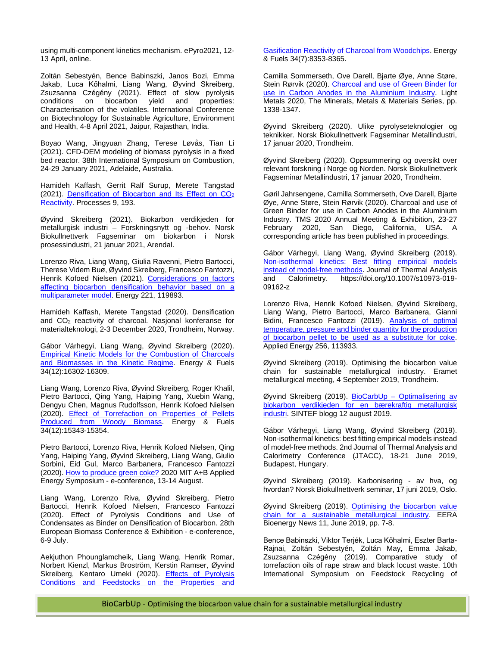using multi-component kinetics mechanism. ePyro2021, 12- 13 April, online.

Zoltán Sebestyén, Bence Babinszki, Janos Bozi, Emma Jakab, Luca Kőhalmi, Liang Wang, Øyvind Skreiberg, Zsuzsanna Czégény (2021). Effect of slow pyrolysis conditions on biocarbon yield and properties: Characterisation of the volatiles. International Conference on Biotechnology for Sustainable Agriculture, Environment and Health, 4-8 April 2021, Jaipur, Rajasthan, India.

Boyao Wang, Jingyuan Zhang, Terese Løvås, Tian Li (2021). CFD-DEM modeling of biomass pyrolysis in a fixed bed reactor. 38th International Symposium on Combustion, 24-29 January 2021, Adelaide, Australia.

Hamideh Kaffash, Gerrit Ralf Surup, Merete Tangstad (2021). [Densification of Biocarbon and Its Effect on CO2](https://doi.org/10.3390/pr9020193) [Reactivity.](https://doi.org/10.3390/pr9020193) Processes 9, 193.

Øyvind Skreiberg (2021). Biokarbon verdikjeden for metallurgisk industri – Forskningsnytt og -behov. Norsk Biokullnettverk Fagseminar om biokarbon i Norsk prosessindustri, 21 januar 2021, Arendal.

Lorenzo Riva, Liang Wang, Giulia Ravenni, Pietro Bartocci, Therese Videm Buø, Øyvind Skreiberg, Francesco Fantozzi, Henrik Kofoed Nielsen (2021). [Considerations on factors](https://doi.org/10.1016/j.energy.2021.119893)  [affecting biocarbon densification behavior based on a](https://doi.org/10.1016/j.energy.2021.119893)  [multiparameter model.](https://doi.org/10.1016/j.energy.2021.119893) Energy 221, 119893.

Hamideh Kaffash, Merete Tangstad (2020). Densification and CO2 reactivity of charcoal. Nasjonal konferanse for materialteknologi, 2-3 December 2020, Trondheim, Norway.

Gábor Várhegyi, Liang Wang, Øyvind Skreiberg (2020). [Empirical Kinetic Models for the Combustion of Charcoals](https://dx.doi.org/10.1021/acs.energyfuels.0c03248)  [and Biomasses in the Kinetic Regime.](https://dx.doi.org/10.1021/acs.energyfuels.0c03248) Energy & Fuels 34(12):16302-16309.

Liang Wang, Lorenzo Riva, Øyvind Skreiberg, Roger Khalil, Pietro Bartocci, Qing Yang, Haiping Yang, Xuebin Wang, Dengyu Chen, Magnus Rudolfsson, Henrik Kofoed Nielsen (2020). [Effect of Torrefaction on Properties of Pellets](https://doi.org/10.1021/acs.energyfuels.0c02671)  [Produced from Woody Biomass.](https://doi.org/10.1021/acs.energyfuels.0c02671) Energy & Fuels 34(12):15343-15354.

Pietro Bartocci, Lorenzo Riva, Henrik Kofoed Nielsen, Qing Yang, Haiping Yang, Øyvind Skreiberg, Liang Wang, Giulio Sorbini, Eid Gul, Marco Barbanera, Francesco Fantozzi (2020)[. How to produce green coke?](http://www.energy-proceedings.org/wp-content/uploads/2020/11/aeab2020_paper_77.pdf) 2020 MIT A+B Applied Energy Symposium - e-conference, 13-14 August.

Liang Wang, Lorenzo Riva, Øyvind Skreiberg, Pietro Bartocci, Henrik Kofoed Nielsen, Francesco Fantozzi (2020). Effect of Pyrolysis Conditions and Use of Condensates as Binder on Densification of Biocarbon. 28th European Biomass Conference & Exhibition - e-conference, 6-9 July.

Aekjuthon Phounglamcheik, Liang Wang, Henrik Romar, Norbert Kienzl, Markus Broström, Kerstin Ramser, Øyvind Skreiberg, Kentaro Umeki (2020). Effects of Pyrolysis [Conditions and Feedstocks on the Properties and](https://doi.org/10.1021/acs.energyfuels.0c00592)  [Gasification Reactivity of Charcoal from Woodchips.](https://doi.org/10.1021/acs.energyfuels.0c00592) Energy & Fuels 34(7):8353-8365.

Camilla Sommerseth, Ove Darell, Bjarte Øye, Anne Støre, Stein Rørvik (2020). [Charcoal and use of Green Binder for](https://doi.org/10.1007/978-3-030-36408-3_183)  [use in Carbon Anodes in the Aluminium Industry.](https://doi.org/10.1007/978-3-030-36408-3_183) Light Metals 2020, The Minerals, Metals & Materials Series, pp. 1338-1347.

Øyvind Skreiberg (2020). Ulike pyrolyseteknologier og teknikker. Norsk Biokullnettverk Fagseminar Metallindustri, 17 januar 2020, Trondheim.

Øyvind Skreiberg (2020). Oppsummering og oversikt over relevant forskning i Norge og Norden. Norsk Biokullnettverk Fagseminar Metallindustri, 17 januar 2020, Trondheim.

Gøril Jahrsengene, Camilla Sommerseth, Ove Darell, Bjarte Øye, Anne Støre, Stein Rørvik (2020). Charcoal and use of Green Binder for use in Carbon Anodes in the Aluminium Industry. TMS 2020 Annual Meeting & Exhibition, 23-27 February 2020, San Diego, California, USA. A corresponding article has been published in proceedings.

Gábor Várhegyi, Liang Wang, Øyvind Skreiberg (2019). [Non-isothermal kinetics: Best fitting empirical models](https://doi.org/10.1007/s10973-019-09162-z)  [instead of model-free methods.](https://doi.org/10.1007/s10973-019-09162-z) Journal of Thermal Analysis<br>and Calorimetry. https://doi.org/10.1007/s10973-019and Calorimetry. https://doi.org/10.1007/s10973-019- 09162-z

Lorenzo Riva, Henrik Kofoed Nielsen, Øyvind Skreiberg, Liang Wang, Pietro Bartocci, Marco Barbanera, Gianni Bidini, Francesco Fantozzi (2019). [Analysis of optimal](https://doi.org/10.1016/j.apenergy.2019.113933)  [temperature, pressure and binder quantity for the production](https://doi.org/10.1016/j.apenergy.2019.113933)  [of biocarbon pellet to be used as a substitute for coke.](https://doi.org/10.1016/j.apenergy.2019.113933)  Applied Energy 256, 113933.

Øyvind Skreiberg (2019). Optimising the biocarbon value chain for sustainable metallurgical industry. Eramet metallurgical meeting, 4 September 2019, Trondheim.

Øyvind Skreiberg (2019). <u>BioCarbUp – Optimalisering av</u> [biokarbon verdikjeden for en bærekraftig metallurgisk](https://blogg.sintef.no/sintefenergy-nb/biocarbup-optimalisering-av-biokarbon-verdikjeden-for-en-baerekraftig-metallurgisk-industri/)  [industri.](https://blogg.sintef.no/sintefenergy-nb/biocarbup-optimalisering-av-biokarbon-verdikjeden-for-en-baerekraftig-metallurgisk-industri/) SINTEF blogg 12 august 2019.

Gábor Várhegyi, Liang Wang, Øyvind Skreiberg (2019). Non-isothermal kinetics: best fitting empirical models instead of model-free methods. 2nd Journal of Thermal Analysis and Calorimetry Conference (JTACC), 18-21 June 2019, Budapest, Hungary.

Øyvind Skreiberg (2019). Karbonisering - av hva, og hvordan? Norsk Biokullnettverk seminar, 17 juni 2019, Oslo.

Øyvind Skreiberg (2019). Optimising the biocarbon value [chain for a sustainable metallurgical industry.](http://www.eera-bioenergy.eu/wp-content/uploads/pdf/EERABioenergyNewsletterIssue11.pdf) EERA Bioenergy News 11, June 2019, pp. 7-8.

Bence Babinszki, Viktor Terjék, Luca Kőhalmi, Eszter Barta-Rajnai, Zoltán Sebestyén, Zoltán May, Emma Jakab, Zsuzsanna Czégény (2019). Comparative study of torrefaction oils of rape straw and black locust waste. 10th International Symposium on Feedstock Recycling of